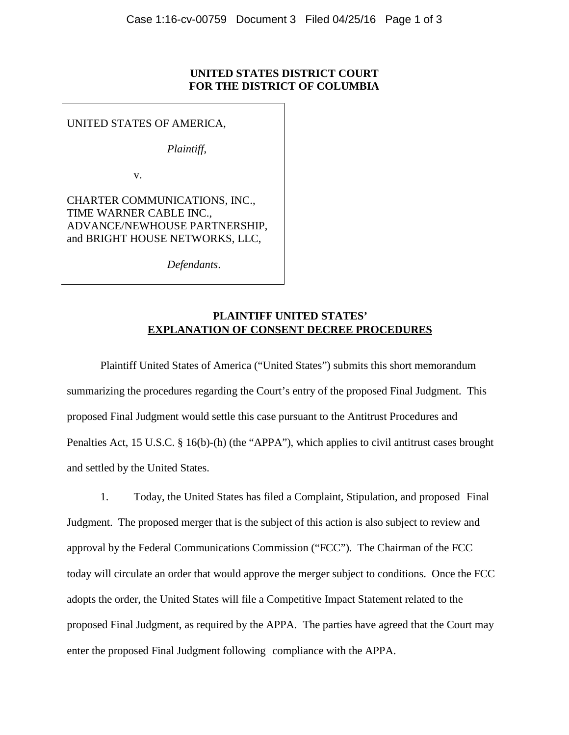## **UNITED STATES DISTRICT COURT FOR THE DISTRICT OF COLUMBIA**

UNITED STATES OF AMERICA,

*Plaintiff*,

v.

, ADVANCE/NEWHOUSE PARTNERSHIP CHARTER COMMUNICATIONS, INC., TIME WARNER CABLE INC., and BRIGHT HOUSE NETWORKS, LLC,

*Defendants*.

## **PLAINTIFF UNITED STATES' EXPLANATION OF CONSENT DECREE PROCEDURES**

Plaintiff United States of America ("United States") submits this short memorandum summarizing the procedures regarding the Court's entry of the proposed Final Judgment. This proposed Final Judgment would settle this case pursuant to the Antitrust Procedures and Penalties Act, 15 U.S.C. § 16(b)-(h) (the "APPA"), which applies to civil antitrust cases brought and settled by the United States.

1. Today, the United States has filed a Complaint, Stipulation, and proposed Final Judgment. The proposed merger that is the subject of this action is also subject to review and approval by the Federal Communications Commission ("FCC"). The Chairman of the FCC today will circulate an order that would approve the merger subject to conditions. Once the FCC adopts the order, the United States will file a Competitive Impact Statement related to the proposed Final Judgment, as required by the APPA. The parties have agreed that the Court may enter the proposed Final Judgment following compliance with the APPA.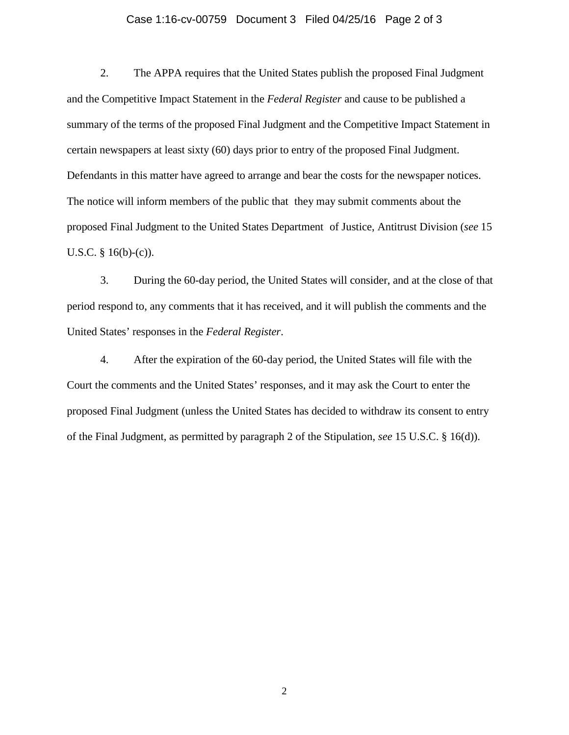## Case 1:16-cv-00759 Document 3 Filed 04/25/16 Page 2 of 3

2. The APPA requires that the United States publish the proposed Final Judgment and the Competitive Impact Statement in the *Federal Register* and cause to be published a summary of the terms of the proposed Final Judgment and the Competitive Impact Statement in certain newspapers at least sixty (60) days prior to entry of the proposed Final Judgment. Defendants in this matter have agreed to arrange and bear the costs for the newspaper notices. The notice will inform members of the public that they may submit comments about the proposed Final Judgment to the United States Department of Justice, Antitrust Division (*see* 15 U.S.C.  $§$  16(b)-(c)).

 3. During the 60-day period, the United States will consider, and at the close of that period respond to, any comments that it has received, and it will publish the comments and the United States' responses in the *Federal Register*.

 4. After the expiration of the 60-day period, the United States will file with the Court the comments and the United States' responses, and it may ask the Court to enter the proposed Final Judgment (unless the United States has decided to withdraw its consent to entry of the Final Judgment, as permitted by paragraph 2 of the Stipulation, *see* 15 U.S.C. § 16(d)).

2